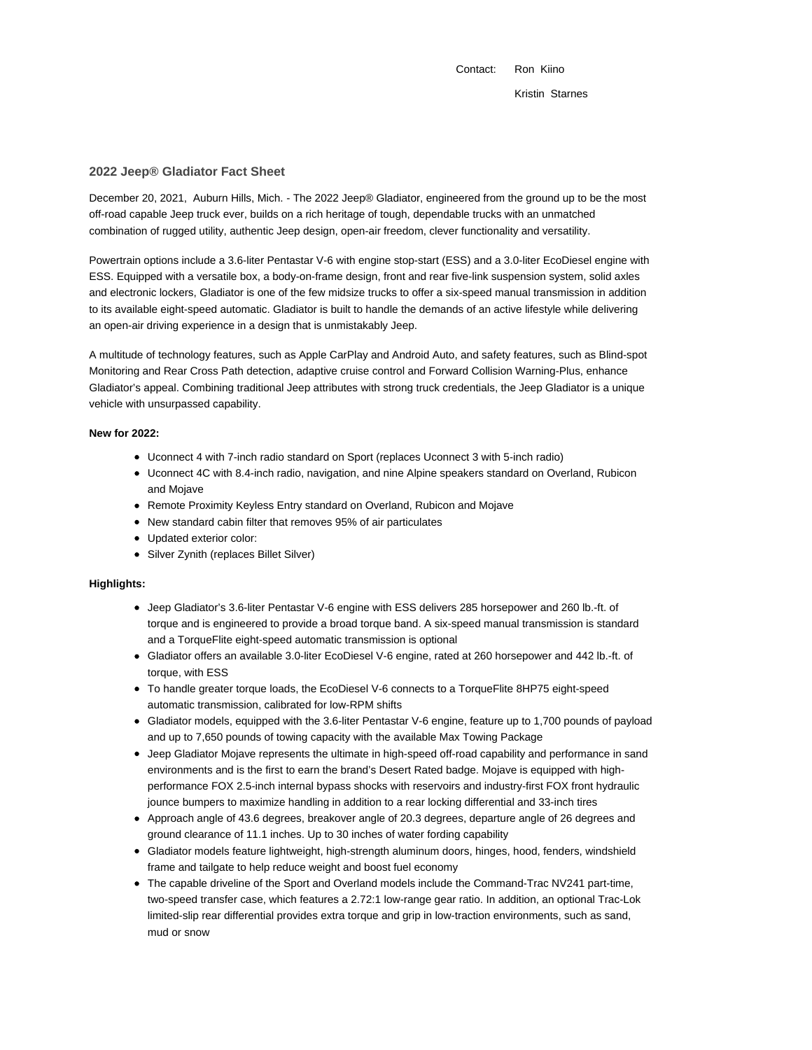Contact: Ron Kiino Kristin Starnes

# **2022 Jeep® Gladiator Fact Sheet**

December 20, 2021, Auburn Hills, Mich. - The 2022 Jeep® Gladiator, engineered from the ground up to be the most off-road capable Jeep truck ever, builds on a rich heritage of tough, dependable trucks with an unmatched combination of rugged utility, authentic Jeep design, open-air freedom, clever functionality and versatility.

Powertrain options include a 3.6-liter Pentastar V-6 with engine stop-start (ESS) and a 3.0-liter EcoDiesel engine with ESS. Equipped with a versatile box, a body-on-frame design, front and rear five-link suspension system, solid axles and electronic lockers, Gladiator is one of the few midsize trucks to offer a six-speed manual transmission in addition to its available eight-speed automatic. Gladiator is built to handle the demands of an active lifestyle while delivering an open-air driving experience in a design that is unmistakably Jeep.

A multitude of technology features, such as Apple CarPlay and Android Auto, and safety features, such as Blind-spot Monitoring and Rear Cross Path detection, adaptive cruise control and Forward Collision Warning-Plus, enhance Gladiator's appeal. Combining traditional Jeep attributes with strong truck credentials, the Jeep Gladiator is a unique vehicle with unsurpassed capability.

### **New for 2022:**

- Uconnect 4 with 7-inch radio standard on Sport (replaces Uconnect 3 with 5-inch radio)
- Uconnect 4C with 8.4-inch radio, navigation, and nine Alpine speakers standard on Overland, Rubicon and Mojave
- Remote Proximity Keyless Entry standard on Overland, Rubicon and Mojave
- New standard cabin filter that removes 95% of air particulates
- Updated exterior color:
- Silver Zynith (replaces Billet Silver)

## **Highlights:**

- Jeep Gladiator's 3.6-liter Pentastar V-6 engine with ESS delivers 285 horsepower and 260 lb.-ft. of torque and is engineered to provide a broad torque band. A six-speed manual transmission is standard and a TorqueFlite eight-speed automatic transmission is optional
- Gladiator offers an available 3.0-liter EcoDiesel V-6 engine, rated at 260 horsepower and 442 lb.-ft. of torque, with ESS
- To handle greater torque loads, the EcoDiesel V-6 connects to a TorqueFlite 8HP75 eight-speed automatic transmission, calibrated for low-RPM shifts
- Gladiator models, equipped with the 3.6-liter Pentastar V-6 engine, feature up to 1,700 pounds of payload and up to 7,650 pounds of towing capacity with the available Max Towing Package
- Jeep Gladiator Mojave represents the ultimate in high-speed off-road capability and performance in sand environments and is the first to earn the brand's Desert Rated badge. Mojave is equipped with highperformance FOX 2.5-inch internal bypass shocks with reservoirs and industry-first FOX front hydraulic jounce bumpers to maximize handling in addition to a rear locking differential and 33-inch tires
- Approach angle of 43.6 degrees, breakover angle of 20.3 degrees, departure angle of 26 degrees and ground clearance of 11.1 inches. Up to 30 inches of water fording capability
- Gladiator models feature lightweight, high-strength aluminum doors, hinges, hood, fenders, windshield frame and tailgate to help reduce weight and boost fuel economy
- The capable driveline of the Sport and Overland models include the Command-Trac NV241 part-time, two-speed transfer case, which features a 2.72:1 low-range gear ratio. In addition, an optional Trac-Lok limited-slip rear differential provides extra torque and grip in low-traction environments, such as sand, mud or snow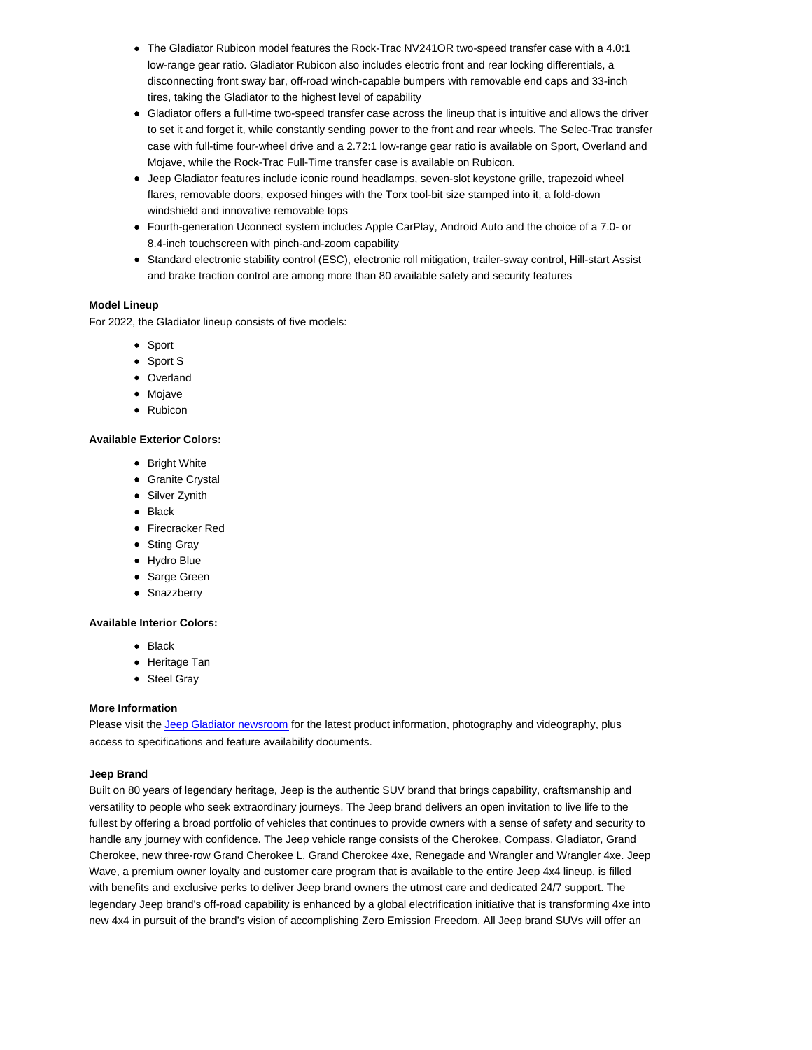- The Gladiator Rubicon model features the Rock-Trac NV241OR two-speed transfer case with a 4.0:1 low-range gear ratio. Gladiator Rubicon also includes electric front and rear locking differentials, a disconnecting front sway bar, off-road winch-capable bumpers with removable end caps and 33-inch tires, taking the Gladiator to the highest level of capability
- Gladiator offers a full-time two-speed transfer case across the lineup that is intuitive and allows the driver to set it and forget it, while constantly sending power to the front and rear wheels. The Selec-Trac transfer case with full-time four-wheel drive and a 2.72:1 low-range gear ratio is available on Sport, Overland and Mojave, while the Rock-Trac Full-Time transfer case is available on Rubicon.
- Jeep Gladiator features include iconic round headlamps, seven-slot keystone grille, trapezoid wheel flares, removable doors, exposed hinges with the Torx tool-bit size stamped into it, a fold-down windshield and innovative removable tops
- Fourth-generation Uconnect system includes Apple CarPlay, Android Auto and the choice of a 7.0- or 8.4-inch touchscreen with pinch-and-zoom capability
- Standard electronic stability control (ESC), electronic roll mitigation, trailer-sway control, Hill-start Assist and brake traction control are among more than 80 available safety and security features

## **Model Lineup**

For 2022, the Gladiator lineup consists of five models:

- Sport
- Sport S
- Overland
- Mojave
- Rubicon

# **Available Exterior Colors:**

- Bright White
- **•** Granite Crystal
- Silver Zynith
- Black
- Firecracker Red
- Sting Gray
- Hydro Blue
- Sarge Green
- Snazzberry

#### **Available Interior Colors:**

- Black
- Heritage Tan
- Steel Gray

### **More Information**

Please visit the Jeep Gladiator newsroom for the latest product information, photography and videography, plus access to specifications and feature availability documents.

### **Jeep Brand**

Built on 80 years of legendary heritage, Jeep is the authentic SUV brand that brings capability, craftsmanship and versatility to people who seek extraordinary journeys. The Jeep brand delivers an open invitation to live life to the fullest by offering a broad portfolio of vehicles that continues to provide owners with a sense of safety and security to handle any journey with confidence. The Jeep vehicle range consists of the Cherokee, Compass, Gladiator, Grand Cherokee, new three-row Grand Cherokee L, Grand Cherokee 4xe, Renegade and Wrangler and Wrangler 4xe. Jeep Wave, a premium owner loyalty and customer care program that is available to the entire Jeep 4x4 lineup, is filled with benefits and exclusive perks to deliver Jeep brand owners the utmost care and dedicated 24/7 support. The legendary Jeep brand's off-road capability is enhanced by a global electrification initiative that is transforming 4xe into new 4x4 in pursuit of the brand's vision of accomplishing Zero Emission Freedom. All Jeep brand SUVs will offer an